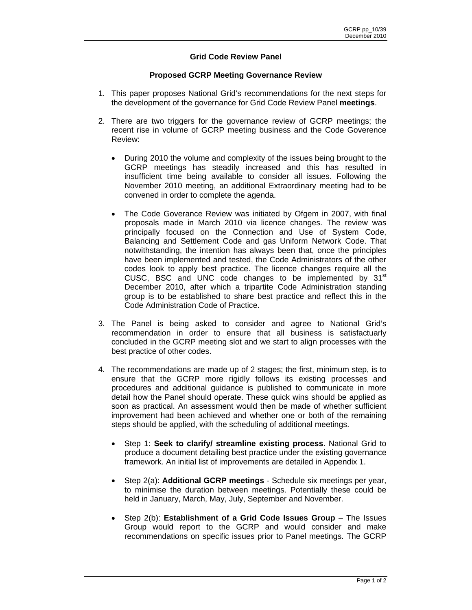## **Grid Code Review Panel**

## **Proposed GCRP Meeting Governance Review**

- 1. This paper proposes National Grid's recommendations for the next steps for the development of the governance for Grid Code Review Panel **meetings**.
- 2. There are two triggers for the governance review of GCRP meetings; the recent rise in volume of GCRP meeting business and the Code Goverence Review:
	- During 2010 the volume and complexity of the issues being brought to the GCRP meetings has steadily increased and this has resulted in insufficient time being available to consider all issues. Following the November 2010 meeting, an additional Extraordinary meeting had to be convened in order to complete the agenda.
	- The Code Goverance Review was initiated by Ofgem in 2007, with final proposals made in March 2010 via licence changes. The review was principally focused on the Connection and Use of System Code, Balancing and Settlement Code and gas Uniform Network Code. That notwithstanding, the intention has always been that, once the principles have been implemented and tested, the Code Administrators of the other codes look to apply best practice. The licence changes require all the CUSC, BSC and UNC code changes to be implemented by  $31<sup>st</sup>$ December 2010, after which a tripartite Code Administration standing group is to be established to share best practice and reflect this in the Code Administration Code of Practice.
- 3. The Panel is being asked to consider and agree to National Grid's recommendation in order to ensure that all business is satisfactuarly concluded in the GCRP meeting slot and we start to align processes with the best practice of other codes.
- 4. The recommendations are made up of 2 stages; the first, minimum step, is to ensure that the GCRP more rigidly follows its existing processes and procedures and additional guidance is published to communicate in more detail how the Panel should operate. These quick wins should be applied as soon as practical. An assessment would then be made of whether sufficient improvement had been achieved and whether one or both of the remaining steps should be applied, with the scheduling of additional meetings.
	- Step 1: **Seek to clarify/ streamline existing process**. National Grid to produce a document detailing best practice under the existing governance framework. An initial list of improvements are detailed in Appendix 1.
	- Step 2(a): **Additional GCRP meetings** Schedule six meetings per year, to minimise the duration between meetings. Potentially these could be held in January, March, May, July, September and November.
	- Step 2(b): **Establishment of a Grid Code Issues Group** The Issues Group would report to the GCRP and would consider and make recommendations on specific issues prior to Panel meetings. The GCRP